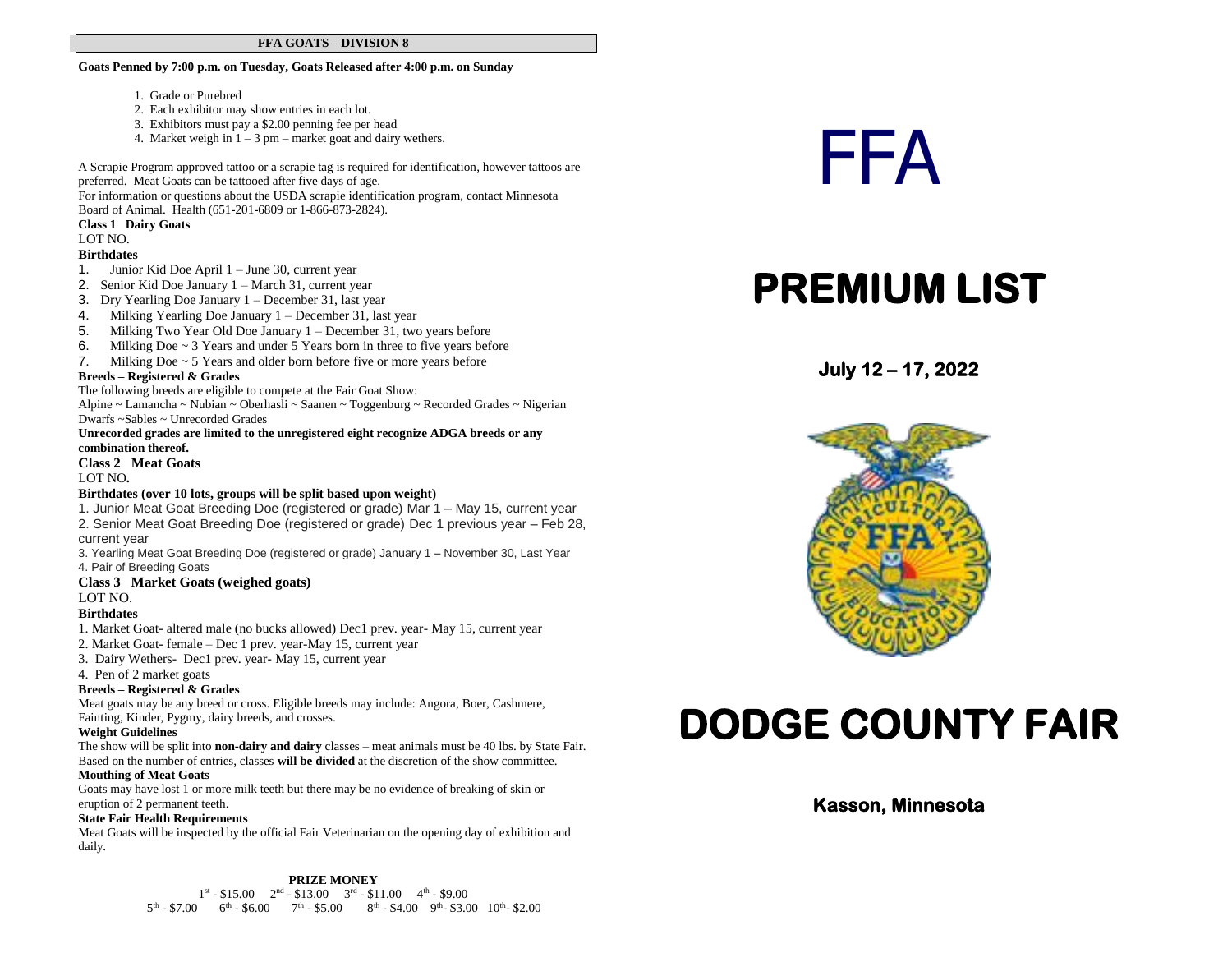#### **FFA GOATS – DIVISION 8**

**Goats Penned by 7:00 p.m. on Tuesday, Goats Released after 4:00 p.m. on Sunday**

- 1. Grade or Purebred
- 2. Each exhibitor may show entries in each lot.
- 3. Exhibitors must pay a \$2.00 penning fee per head
- 4. Market weigh in  $1 3$  pm market goat and dairy wethers.

A Scrapie Program approved tattoo or a scrapie tag is required for identification, however tattoos are preferred. Meat Goats can be tattooed after five days of age.

For information or questions about the USDA scrapie identification program, contact Minnesota

Board of Animal. Health (651-201-6809 or 1-866-873-2824).

#### **Class 1 Dairy Goats**

#### LOT NO.

- **Birthdates**
- 1. Junior Kid Doe April 1 June 30, current year
- 2. Senior Kid Doe January 1 March 31, current year
- 3. Dry Yearling Doe January 1 December 31, last year
- 4. Milking Yearling Doe January 1 December 31, last year
- 5. Milking Two Year Old Doe January 1 December 31, two years before
- 6. Milking Doe  $\sim$  3 Years and under 5 Years born in three to five years before
- 7. Milking Doe  $\sim$  5 Years and older born before five or more years before

#### **Breeds – Registered & Grades**

The following breeds are eligible to compete at the Fair Goat Show:

Alpine ~ Lamancha ~ Nubian ~ Oberhasli ~ Saanen ~ Toggenburg ~ Recorded Grades ~ Nigerian Dwarfs ~Sables ~ Unrecorded Grades

#### **Unrecorded grades are limited to the unregistered eight recognize ADGA breeds or any combination thereof.**

#### **Class 2 Meat Goats**

LOT NO**.**

#### **Birthdates (over 10 lots, groups will be split based upon weight)**

1. Junior Meat Goat Breeding Doe (registered or grade) Mar 1 – May 15, current year 2. Senior Meat Goat Breeding Doe (registered or grade) Dec 1 previous year – Feb 28, current year

3. Yearling Meat Goat Breeding Doe (registered or grade) January 1 – November 30, Last Year 4. Pair of Breeding Goats

#### **Class 3 Market Goats (weighed goats)**

LOT NO.

#### **Birthdates**

- 1. Market Goat- altered male (no bucks allowed) Dec1 prev. year- May 15, current year
- 2. Market Goat- female Dec 1 prev. year-May 15, current year
- 3. Dairy Wethers- Dec1 prev. year- May 15, current year
- 4. Pen of 2 market goats

#### **Breeds – Registered & Grades**

Meat goats may be any breed or cross. Eligible breeds may include: Angora, Boer, Cashmere, Fainting, Kinder, Pygmy, dairy breeds, and crosses.

#### **Weight Guidelines**

The show will be split into **non-dairy and dairy** classes – meat animals must be 40 lbs. by State Fair. Based on the number of entries, classes **will be divided** at the discretion of the show committee.

#### **Mouthing of Meat Goats**

Goats may have lost 1 or more milk teeth but there may be no evidence of breaking of skin or eruption of 2 permanent teeth.

#### **State Fair Health Requirements**

Meat Goats will be inspected by the official Fair Veterinarian on the opening day of exhibition and daily.

#### **PRIZE MONEY**

 $1^{\text{st}} - $15.00$   $2^{\text{nd}} - $13.00$   $3^{\text{rd}} - $11.00$   $4^{\text{th}} - $9.00$  $5<sup>th</sup> - $7.00$   $6<sup>th</sup> - $6.00$   $7<sup>th</sup> - $5.00$   $8<sup>th</sup> - $4.00$   $9<sup>th</sup> - $3.00$   $10<sup>th</sup> - $2.00$ 

# FFA

## **PREMIUM LIST**

**July 12 – 17, 2022** 



# **DODGE COUNTY FAIR**

#### **Kasson, Minnesota**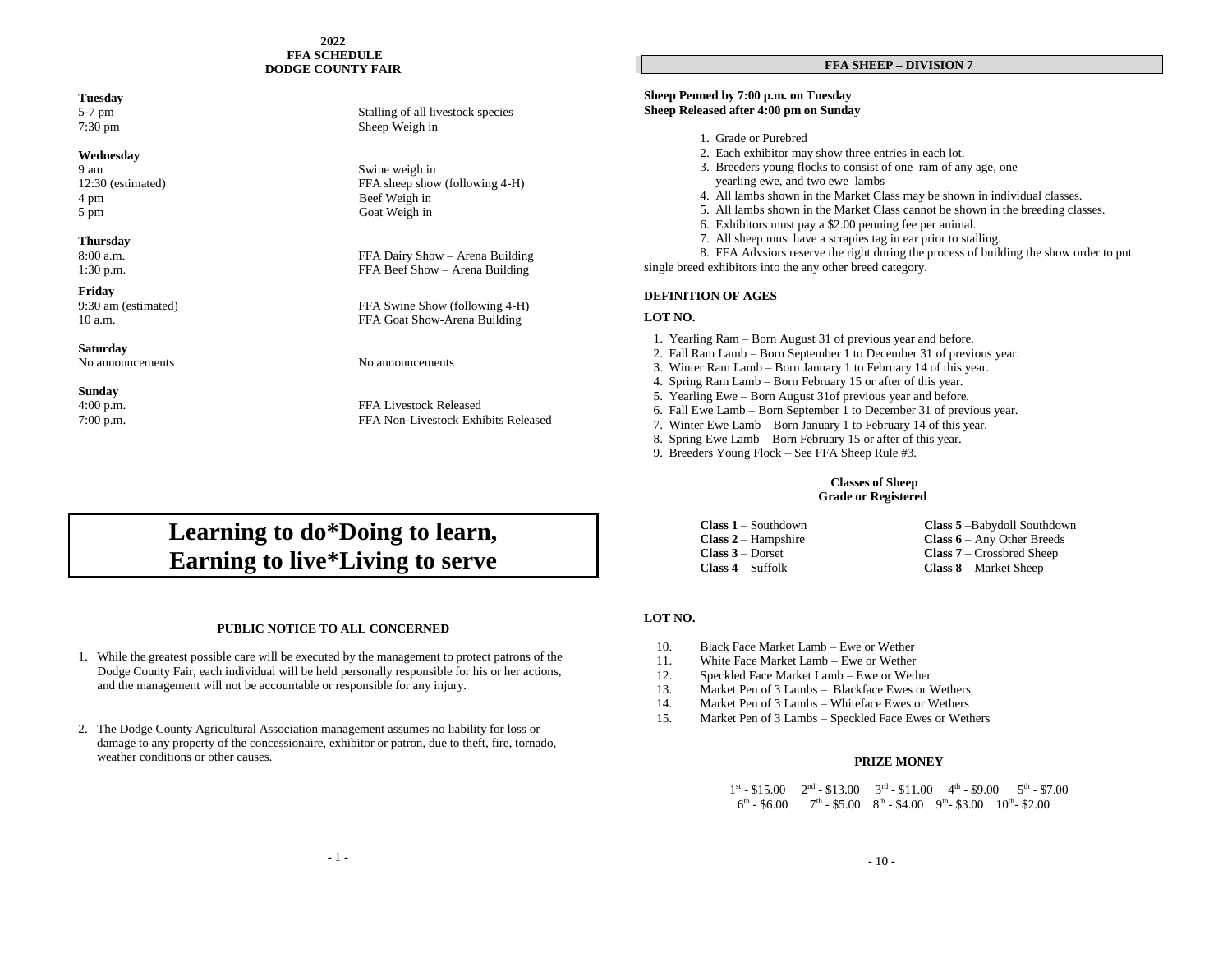#### **2022 FFA SCHEDULE DODGE COUNTY FAIR**

#### **Tuesday**

#### **Wednesday**

4 pm Beef Weigh in 5 pm Goat Weigh in

#### **Thursday**

**Friday**

#### **Saturday**

No announcements No announcements

### **Sunday**<br>4:00 p.m.

#### 5-7 pm Stalling of all livestock species 7:30 pm Sheep Weigh in

9 am Swine weigh in 12:30 (estimated) FFA sheep show (following 4-H)

8:00 a.m. FFA Dairy Show – Arena Building 1:30 p.m. FFA Beef Show – Arena Building

9:30 am (estimated) FFA Swine Show (following 4-H) 10 a.m. FFA Goat Show-Arena Building

FFA Livestock Released 7:00 p.m. FFA Non-Livestock Exhibits Released

#### **FFA SHEEP – DIVISION 7**

#### **Sheep Penned by 7:00 p.m. on Tuesday Sheep Released after 4:00 pm on Sunday**

- 1. Grade or Purebred
- 2. Each exhibitor may show three entries in each lot.
- 3. Breeders young flocks to consist of one ram of any age, one yearling ewe, and two ewe lambs
- 4. All lambs shown in the Market Class may be shown in individual classes.
- 5. All lambs shown in the Market Class cannot be shown in the breeding classes.
- 6. Exhibitors must pay a \$2.00 penning fee per animal.
- 7. All sheep must have a scrapies tag in ear prior to stalling.

8. FFA Advsiors reserve the right during the process of building the show order to put single breed exhibitors into the any other breed category.

#### **DEFINITION OF AGES**

#### **LOT NO.**

- 1. Yearling Ram Born August 31 of previous year and before.
- 2. Fall Ram Lamb Born September 1 to December 31 of previous year.
- 3. Winter Ram Lamb Born January 1 to February 14 of this year.
- 4. Spring Ram Lamb Born February 15 or after of this year.
- 5. Yearling Ewe Born August 31of previous year and before.
- 6. Fall Ewe Lamb Born September 1 to December 31 of previous year.
- 7. Winter Ewe Lamb Born January 1 to February 14 of this year.
- 8. Spring Ewe Lamb Born February 15 or after of this year.
- 9. Breeders Young Flock See FFA Sheep Rule #3.

#### **Classes of Sheep Grade or Registered**

| <b>Class 1</b> – Southdown | <b>Class 5</b> - Babydoll Southdown            |
|----------------------------|------------------------------------------------|
| $Class 2 - Hampshire$      | <b>Class <math>6 - Any</math></b> Other Breeds |
| $Class 3 - Dorset$         | <b>Class 7</b> – Crossbred Sheep               |
| $Class 4 - Suffolk$        | <b>Class 8</b> – Market Sheep                  |

#### **LOT NO.**

- 10. Black Face Market Lamb Ewe or Wether
- 11. White Face Market Lamb Ewe or Wether
- 12. Speckled Face Market Lamb Ewe or Wether
- 13. Market Pen of 3 Lambs Blackface Ewes or Wethers
- 14. Market Pen of 3 Lambs Whiteface Ewes or Wethers
- 15. Market Pen of 3 Lambs Speckled Face Ewes or Wethers

#### **PRIZE MONEY**

 $1^{\text{st}} - \$15.00$   $2^{\text{nd}} - \$13.00$   $3^{\text{rd}} - \$11.00$   $4^{\text{th}} - \$9.00$   $5^{\text{th}} - \$7.00$  $\sim$  6  $t^{\text{th}}$  - \$6.00 7<sup>th</sup> - \$5.00 8<sup>th</sup> - \$4.00 9<sup>th</sup> - \$3.00 10<sup>th</sup> - \$2.00

### **Learning to do\*Doing to learn, Earning to live\*Living to serve**

#### **PUBLIC NOTICE TO ALL CONCERNED**

- 1. While the greatest possible care will be executed by the management to protect patrons of the Dodge County Fair, each individual will be held personally responsible for his or her actions, and the management will not be accountable or responsible for any injury.
- 2. The Dodge County Agricultural Association management assumes no liability for loss or damage to any property of the concessionaire, exhibitor or patron, due to theft, fire, tornado, weather conditions or other causes.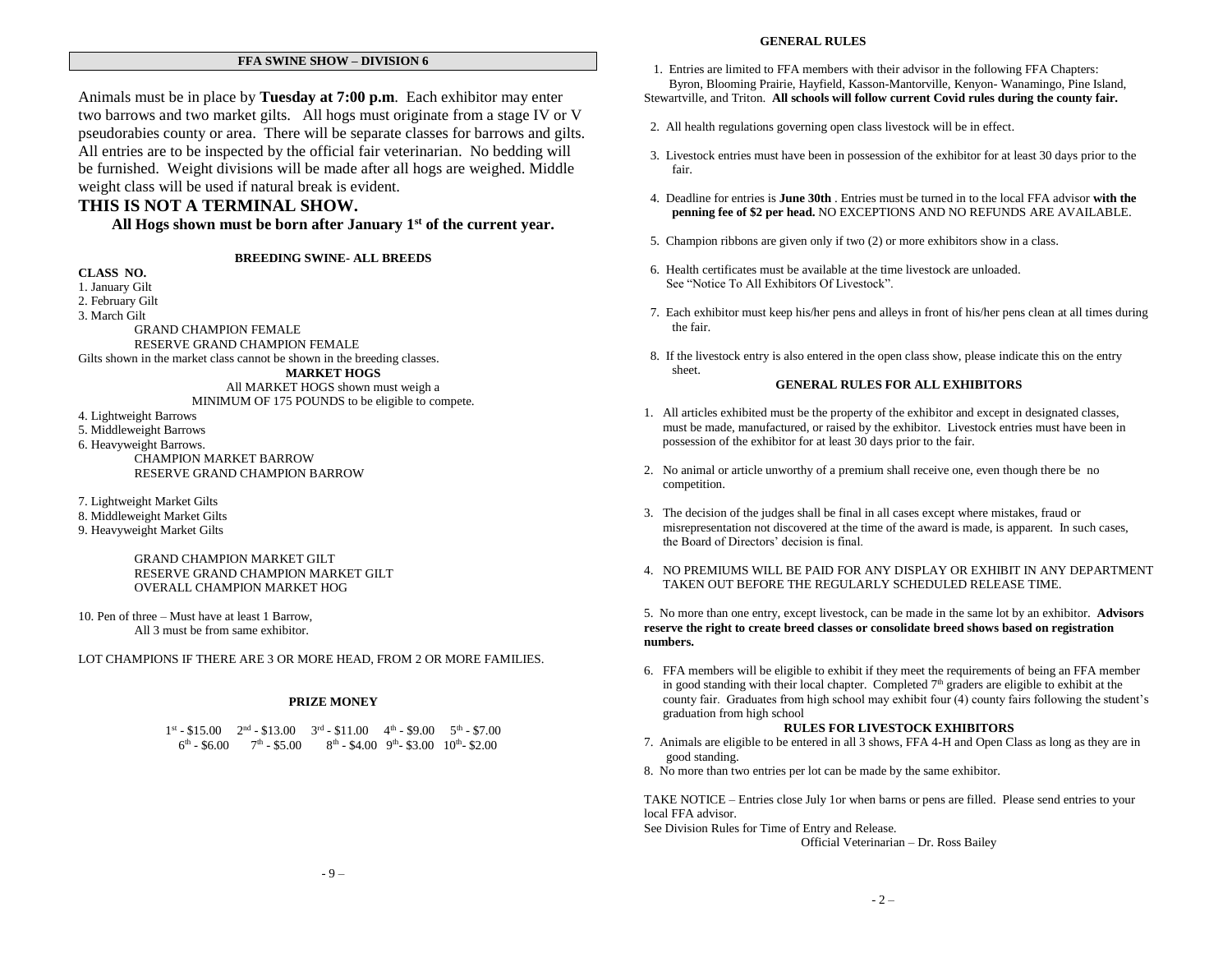#### **FFA SWINE SHOW – DIVISION 6**

Animals must be in place by **Tuesday at 7:00 p.m**. Each exhibitor may enter two barrows and two market gilts. All hogs must originate from a stage IV or V pseudorabies county or area. There will be separate classes for barrows and gilts. All entries are to be inspected by the official fair veterinarian. No bedding will be furnished. Weight divisions will be made after all hogs are weighed. Middle weight class will be used if natural break is evident.

#### **THIS IS NOT A TERMINAL SHOW.**

**All Hogs shown must be born after January 1st of the current year.**

**BREEDING SWINE- ALL BREEDS**

**CLASS NO.** 1. January Gilt 2. February Gilt 3. March Gilt GRAND CHAMPION FEMALE RESERVE GRAND CHAMPION FEMALE Gilts shown in the market class cannot be shown in the breeding classes. **MARKET HOGS**  All MARKET HOGS shown must weigh a MINIMUM OF 175 POUNDS to be eligible to compete. 4. Lightweight Barrows

5. Middleweight Barrows 6. Heavyweight Barrows. CHAMPION MARKET BARROW RESERVE GRAND CHAMPION BARROW

7. Lightweight Market Gilts 8. Middleweight Market Gilts 9. Heavyweight Market Gilts

> GRAND CHAMPION MARKET GILT RESERVE GRAND CHAMPION MARKET GILT OVERALL CHAMPION MARKET HOG

10. Pen of three – Must have at least 1 Barrow, All 3 must be from same exhibitor.

LOT CHAMPIONS IF THERE ARE 3 OR MORE HEAD, FROM 2 OR MORE FAMILIES.

#### **PRIZE MONEY**

 $1^{\text{st}} - $15.00$   $2^{\text{nd}} - $13.00$   $3^{\text{rd}} - $11.00$   $4^{\text{th}} - $9.00$   $5^{\text{th}} - $7.00$  $6<sup>th</sup> - $6.00$   $7<sup>th</sup> - $5.00$   $8<sup>th</sup> - $4.00$   $9<sup>th</sup> - $3.00$   $10<sup>th</sup> - $2.00$ 

#### **GENERAL RULES**

1. Entries are limited to FFA members with their advisor in the following FFA Chapters: Byron, Blooming Prairie, Hayfield, Kasson-Mantorville, Kenyon- Wanamingo, Pine Island,

Stewartville, and Triton. **All schools will follow current Covid rules during the county fair.**

- 2. All health regulations governing open class livestock will be in effect.
- 3. Livestock entries must have been in possession of the exhibitor for at least 30 days prior to the fair.
- 4. Deadline for entries is **June 30th** . Entries must be turned in to the local FFA advisor **with the penning fee of \$2 per head.** NO EXCEPTIONS AND NO REFUNDS ARE AVAILABLE.
- 5. Champion ribbons are given only if two (2) or more exhibitors show in a class.
- 6. Health certificates must be available at the time livestock are unloaded. See "Notice To All Exhibitors Of Livestock".
- 7. Each exhibitor must keep his/her pens and alleys in front of his/her pens clean at all times during the fair.
- 8. If the livestock entry is also entered in the open class show, please indicate this on the entry sheet.

#### **GENERAL RULES FOR ALL EXHIBITORS**

- 1. All articles exhibited must be the property of the exhibitor and except in designated classes, must be made, manufactured, or raised by the exhibitor. Livestock entries must have been in possession of the exhibitor for at least 30 days prior to the fair.
- 2. No animal or article unworthy of a premium shall receive one, even though there be no competition.
- 3. The decision of the judges shall be final in all cases except where mistakes, fraud or misrepresentation not discovered at the time of the award is made, is apparent. In such cases, the Board of Directors' decision is final.
- 4. NO PREMIUMS WILL BE PAID FOR ANY DISPLAY OR EXHIBIT IN ANY DEPARTMENT TAKEN OUT BEFORE THE REGULARLY SCHEDULED RELEASE TIME.

5. No more than one entry, except livestock, can be made in the same lot by an exhibitor. **Advisors reserve the right to create breed classes or consolidate breed shows based on registration numbers.**

6. FFA members will be eligible to exhibit if they meet the requirements of being an FFA member in good standing with their local chapter. Completed  $7<sup>th</sup>$  graders are eligible to exhibit at the county fair. Graduates from high school may exhibit four (4) county fairs following the student's graduation from high school

#### **RULES FOR LIVESTOCK EXHIBITORS**

- 7. Animals are eligible to be entered in all 3 shows, FFA 4-H and Open Class as long as they are in good standing.
- 8. No more than two entries per lot can be made by the same exhibitor.

TAKE NOTICE – Entries close July 1or when barns or pens are filled. Please send entries to your local FFA advisor.

See Division Rules for Time of Entry and Release.

Official Veterinarian – Dr. Ross Bailey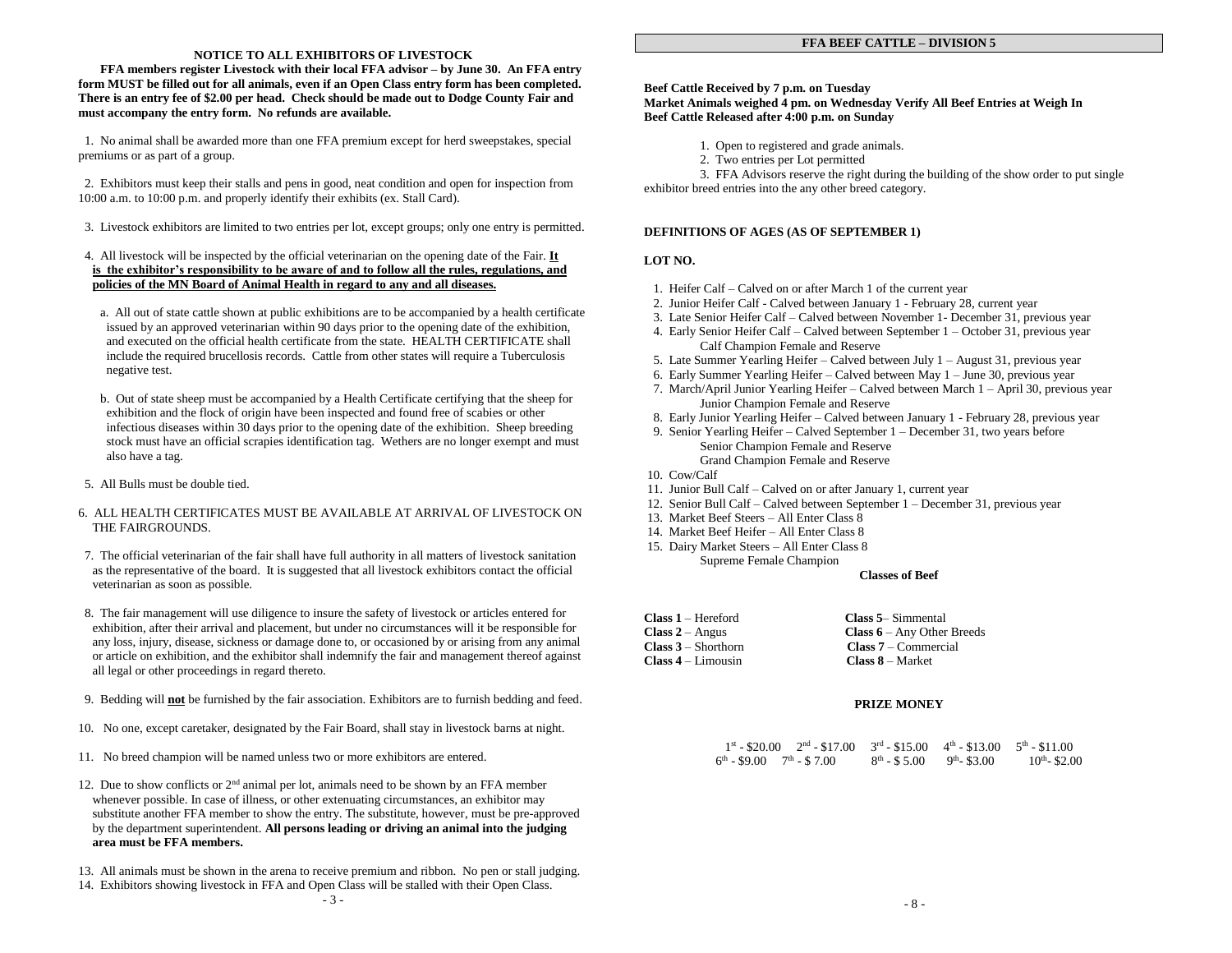#### **NOTICE TO ALL EXHIBITORS OF LIVESTOCK**

 **FFA members register Livestock with their local FFA advisor – by June 30. An FFA entry form MUST be filled out for all animals, even if an Open Class entry form has been completed. There is an entry fee of \$2.00 per head. Check should be made out to Dodge County Fair and must accompany the entry form. No refunds are available.**

 1. No animal shall be awarded more than one FFA premium except for herd sweepstakes, special premiums or as part of a group.

 2. Exhibitors must keep their stalls and pens in good, neat condition and open for inspection from 10:00 a.m. to 10:00 p.m. and properly identify their exhibits (ex. Stall Card).

3. Livestock exhibitors are limited to two entries per lot, except groups; only one entry is permitted.

#### 4. All livestock will be inspected by the official veterinarian on the opening date of the Fair. **It is the exhibitor's responsibility to be aware of and to follow all the rules, regulations, and policies of the MN Board of Animal Health in regard to any and all diseases.**

- a. All out of state cattle shown at public exhibitions are to be accompanied by a health certificate issued by an approved veterinarian within 90 days prior to the opening date of the exhibition, and executed on the official health certificate from the state. HEALTH CERTIFICATE shall include the required brucellosis records. Cattle from other states will require a Tuberculosis negative test.
- b. Out of state sheep must be accompanied by a Health Certificate certifying that the sheep for exhibition and the flock of origin have been inspected and found free of scabies or other infectious diseases within 30 days prior to the opening date of the exhibition. Sheep breeding stock must have an official scrapies identification tag. Wethers are no longer exempt and must also have a tag.
- 5. All Bulls must be double tied.

#### 6. ALL HEALTH CERTIFICATES MUST BE AVAILABLE AT ARRIVAL OF LIVESTOCK ON THE FAIRGROUNDS.

- 7. The official veterinarian of the fair shall have full authority in all matters of livestock sanitation as the representative of the board. It is suggested that all livestock exhibitors contact the official veterinarian as soon as possible.
- 8. The fair management will use diligence to insure the safety of livestock or articles entered for exhibition, after their arrival and placement, but under no circumstances will it be responsible for any loss, injury, disease, sickness or damage done to, or occasioned by or arising from any animal or article on exhibition, and the exhibitor shall indemnify the fair and management thereof against all legal or other proceedings in regard thereto.
- 9. Bedding will **not** be furnished by the fair association. Exhibitors are to furnish bedding and feed.
- 10. No one, except caretaker, designated by the Fair Board, shall stay in livestock barns at night.
- 11. No breed champion will be named unless two or more exhibitors are entered.
- 12. Due to show conflicts or  $2<sup>nd</sup>$  animal per lot, animals need to be shown by an FFA member whenever possible. In case of illness, or other extenuating circumstances, an exhibitor may substitute another FFA member to show the entry. The substitute, however, must be pre-approved by the department superintendent. **All persons leading or driving an animal into the judging area must be FFA members.**
- 13. All animals must be shown in the arena to receive premium and ribbon. No pen or stall judging.
- 14. Exhibitors showing livestock in FFA and Open Class will be stalled with their Open Class.

#### **FFA BEEF CATTLE – DIVISION 5**

#### **Beef Cattle Received by 7 p.m. on Tuesday Market Animals weighed 4 pm. on Wednesday Verify All Beef Entries at Weigh In Beef Cattle Released after 4:00 p.m. on Sunday**

- 1. Open to registered and grade animals.
- 2. Two entries per Lot permitted

 3. FFA Advisors reserve the right during the building of the show order to put single exhibitor breed entries into the any other breed category.

#### **DEFINITIONS OF AGES (AS OF SEPTEMBER 1)**

#### **LOT NO.**

- 1. Heifer Calf Calved on or after March 1 of the current year
- 2. Junior Heifer Calf Calved between January 1 February 28, current year
- 3. Late Senior Heifer Calf Calved between November 1- December 31, previous year
- 4. Early Senior Heifer Calf Calved between September 1 October 31, previous year Calf Champion Female and Reserve
- 5. Late Summer Yearling Heifer Calved between July 1 August 31, previous year
- 6. Early Summer Yearling Heifer Calved between May 1 June 30, previous year
- 7. March/April Junior Yearling Heifer Calved between March 1 April 30, previous year Junior Champion Female and Reserve
- 8. Early Junior Yearling Heifer Calved between January 1 February 28, previous year
- 9. Senior Yearling Heifer Calved September 1 December 31, two years before Senior Champion Female and Reserve Grand Champion Female and Reserve
- 10. Cow/Calf
- 11. Junior Bull Calf Calved on or after January 1, current year
- 12. Senior Bull Calf Calved between September 1 December 31, previous year
- 13. Market Beef Steers All Enter Class 8
- 14. Market Beef Heifer All Enter Class 8
- 15. Dairy Market Steers All Enter Class 8 Supreme Female Champion

#### **Classes of Beef**

| $Class 1 - Hereford$  | <b>Class 5–</b> Simmental                      |
|-----------------------|------------------------------------------------|
| $Class 2 - Angus$     | <b>Class <math>6 - Any</math></b> Other Breeds |
| $Class 3 - Shorthorn$ | $Class 7 - Commercial$                         |
| $Class 4 - Limousin$  | $Class 8 - Market$                             |

#### **PRIZE MONEY**

| $1^{st}$ - \$20.00 $2^{nd}$ - \$17.00 $3^{rd}$ - \$15.00 $4^{th}$ - \$13.00 $5^{th}$ - \$11.00 |                             |                    |
|------------------------------------------------------------------------------------------------|-----------------------------|--------------------|
| $6^{th}$ - \$9.00 $7^{th}$ - \$7.00                                                            | $8th - $5.00$ $9th - $3.00$ | $10^{th}$ - \$2.00 |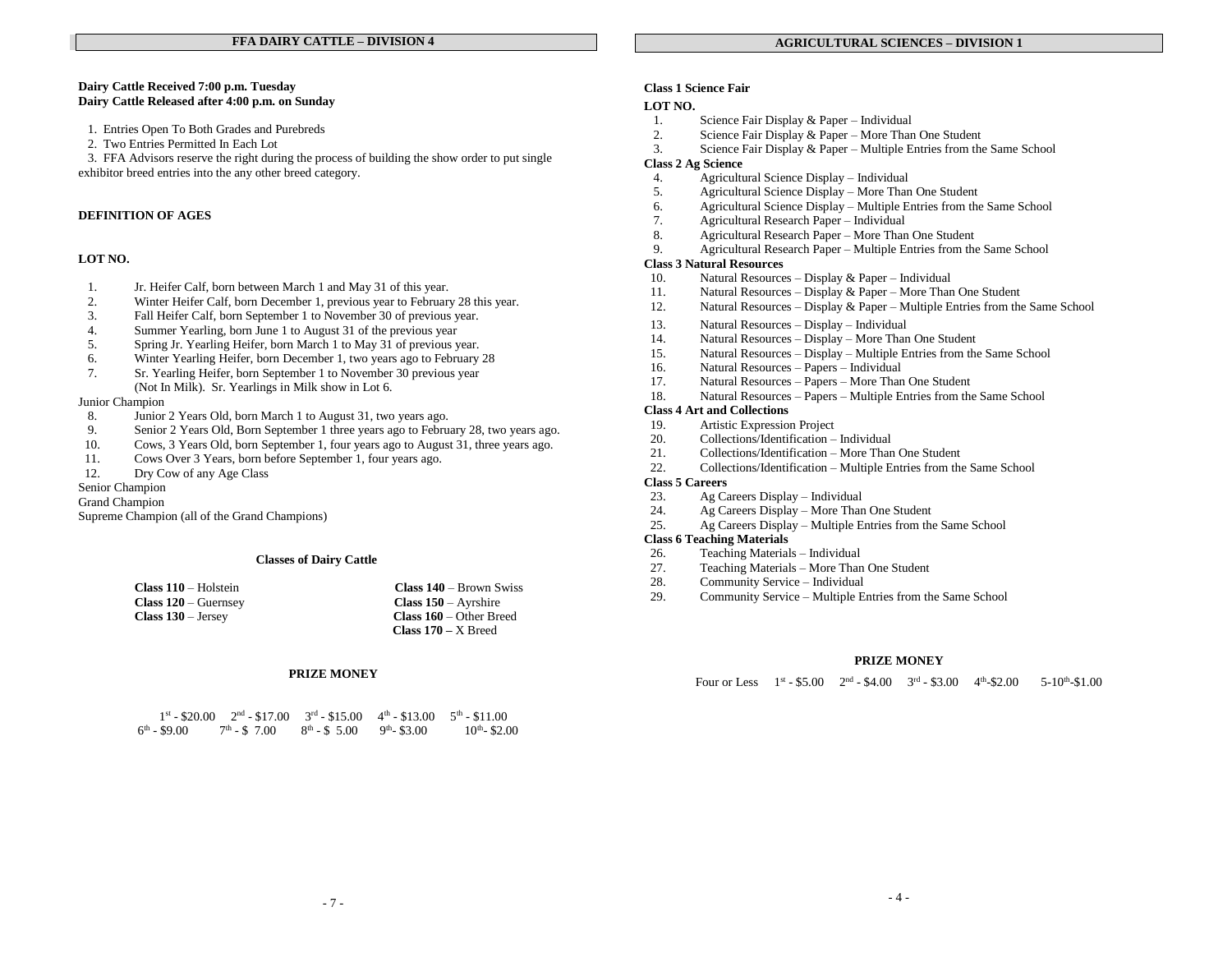#### **Dairy Cattle Received 7:00 p.m. Tuesday Dairy Cattle Released after 4:00 p.m. on Sunday**

- 1. Entries Open To Both Grades and Purebreds
- 2. Two Entries Permitted In Each Lot

 3. FFA Advisors reserve the right during the process of building the show order to put single exhibitor breed entries into the any other breed category.

#### **DEFINITION OF AGES**

#### **LOT NO.**

- 1. Jr. Heifer Calf, born between March 1 and May 31 of this year.
- 2. Winter Heifer Calf, born December 1, previous year to February 28 this year.<br>3. Fall Heifer Calf, born September 1 to November 30 of previous year.
- 3. Fall Heifer Calf, born September 1 to November 30 of previous year.
- 4. Summer Yearling, born June 1 to August 31 of the previous year
- 5. Spring Jr. Yearling Heifer, born March 1 to May 31 of previous year.
- 6. Winter Yearling Heifer, born December 1, two years ago to February 28<br>7. Sr. Yearling Heifer, born September 1 to November 30 previous year
- 7. Sr. Yearling Heifer, born September 1 to November 30 previous year (Not In Milk). Sr. Yearlings in Milk show in Lot 6.

#### Junior Champion

- 8. Junior 2 Years Old, born March 1 to August 31, two years ago.
- 9. Senior 2 Years Old, Born September 1 three years ago to February 28, two years ago.
- 10. Cows, 3 Years Old, born September 1, four years ago to August 31, three years ago.
- 11. Cows Over 3 Years, born before September 1, four years ago.
- 12. Dry Cow of any Age Class

#### Senior Champion

#### Grand Champion

Supreme Champion (all of the Grand Champions)

#### **Classes of Dairy Cattle**

| $Class 110 - Holstein$      | <b>Class <math>140 - Brown</math></b> Swiss |
|-----------------------------|---------------------------------------------|
| <b>Class 120</b> – Guernsey | Class $150 -$ Ayrshire                      |
| $Class 130 - Jersey$        | <b>Class <math>160 -</math></b> Other Breed |
|                             | Class $170 - X$ Breed                       |

#### **PRIZE MONEY**

| $1^{\rm st}$ - \$20.00     |               | $2nd - $17.00$ $3rd - $15.00$ $4th - $13.00$ $5th - $11.00$ |               |                    |
|----------------------------|---------------|-------------------------------------------------------------|---------------|--------------------|
| $6^{\rm th}$ - \$9.00 $\,$ | $7th - $7.00$ | $8^{th} - $5.00$                                            | $9th - $3.00$ | $10^{th}$ - \$2.00 |

#### **Class 1 Science Fair**

#### **LOT NO.**

- 1. Science Fair Display & Paper Individual
- 2. Science Fair Display & Paper More Than One Student 3. Science Fair Display & Paper Multiple Entries from the
- Science Fair Display & Paper Multiple Entries from the Same School

#### **Class 2 Ag Science**

- 4. Agricultural Science Display Individual<br>5. Agricultural Science Display More Than
- 5. Agricultural Science Display More Than One Student
- 6. Agricultural Science Display Multiple Entries from the Same School
- 7. Agricultural Research Paper Individual
- 8. Agricultural Research Paper More Than One Student
- 9. Agricultural Research Paper Multiple Entries from the Same School

#### **Class 3 Natural Resources**

- 10. Natural Resources Display & Paper Individual
- 11. Natural Resources Display & Paper More Than One Student 12 Natural Resources Display & Paper Multiple Entries from the
- Natural Resources Display & Paper Multiple Entries from the Same School
- 13. Natural Resources Display Individual
- 14. Natural Resources Display More Than One Student
- 15. Natural Resources Display Multiple Entries from the Same School
- 16. Natural Resources Papers Individual
- 17. Natural Resources Papers More Than One Student
- 18. Natural Resources Papers Multiple Entries from the Same School

#### **Class 4 Art and Collections**

- 19. Artistic Expression Project
- 20. Collections/Identification Individual
- 21. Collections/Identification More Than One Student<br>22 Collections/Identification Multiple Entries from the
- 22. Collections/Identification Multiple Entries from the Same School

#### **Class 5 Careers**

- 23. Ag Careers Display Individual
- 24. Ag Careers Display More Than One Student
- 25. Ag Careers Display Multiple Entries from the Same School

#### **Class 6 Teaching Materials**

- 26. Teaching Materials Individual
- 27. Teaching Materials More Than One Student
- 28. Community Service Individual
- 29. Community Service Multiple Entries from the Same School

#### **PRIZE MONEY**

Four or Less  $1^{st} - $5.00$   $2^{nd} - $4.00$   $3^{rd} - $3.00$   $4^{th}$  $-$ \$2.00 5-10<sup>th</sup>-\$1.00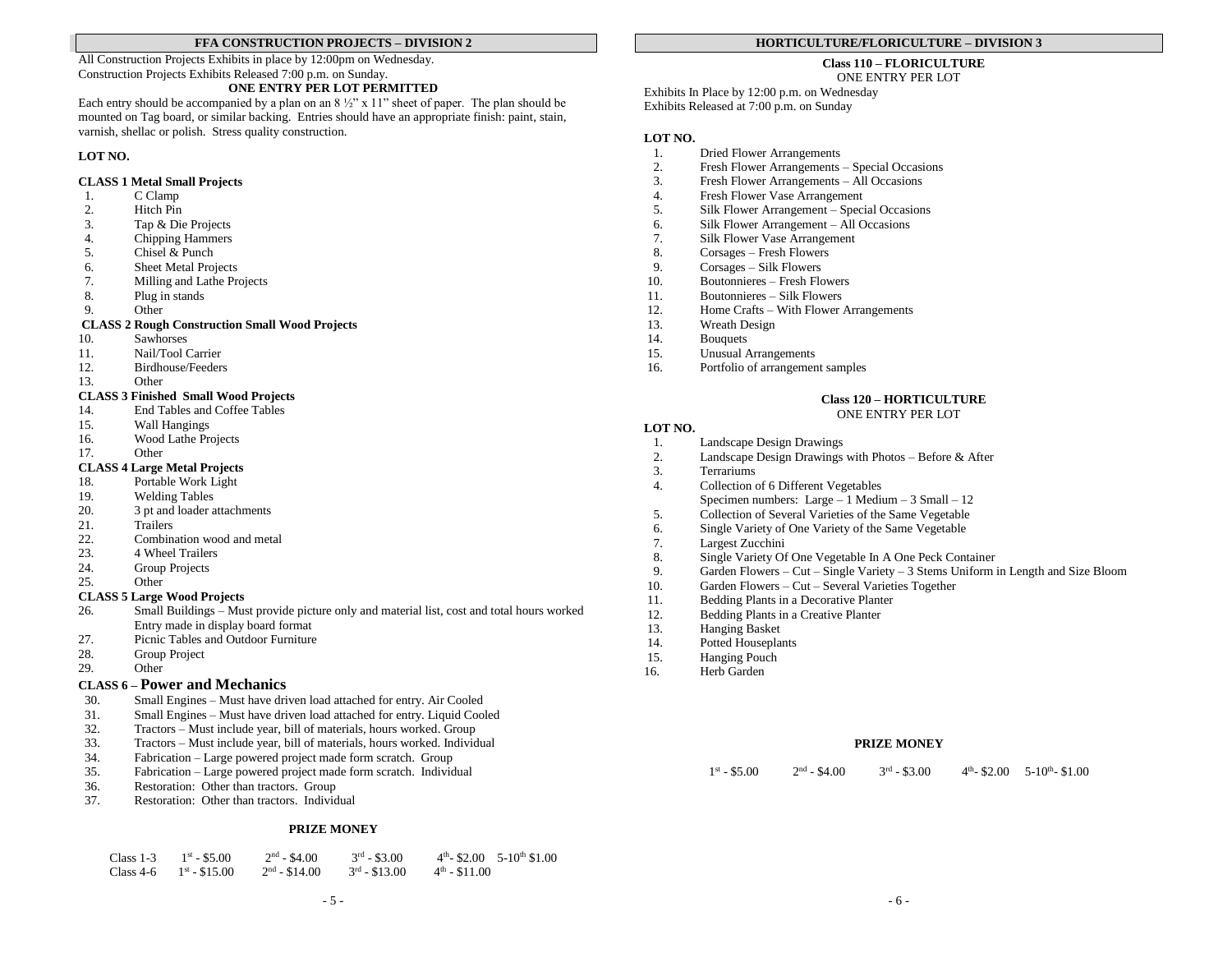#### **FFA CONSTRUCTION PROJECTS – DIVISION 2**

All Construction Projects Exhibits in place by 12:00pm on Wednesday. Construction Projects Exhibits Released 7:00 p.m. on Sunday.

#### **ONE ENTRY PER LOT PERMITTED**

Each entry should be accompanied by a plan on an  $8\frac{1}{2}$ " x 11" sheet of paper. The plan should be mounted on Tag board, or similar backing. Entries should have an appropriate finish: paint, stain, varnish, shellac or polish. Stress quality construction.

#### **LOT NO.**

#### **CLASS 1 Metal Small Projects**

- 1. C Clamp
- 2. Hitch Pin
- 3. Tap & Die Projects
- 4. Chipping Hammers
- 5. Chisel & Punch
- 6. Sheet Metal Projects
- 7. Milling and Lathe Projects<br>8. Plug in stands
- Plug in stands
- 9. Other

#### **CLASS 2 Rough Construction Small Wood Projects**

- 10. Sawhorses
- 11. Nail/Tool Carrier
- 12. Birdhouse/Feeders
- 13. Other

#### **CLASS 3 Finished Small Wood Projects**

- 14. End Tables and Coffee Tables
- 15. Wall Hangings
- 16. Wood Lathe Projects
- 17. Other

#### **CLASS 4 Large Metal Projects**

- 18. Portable Work Light
- 19. Welding Tables
- 20. 3 pt and loader attachments
- 21. Trailers
- 22. Combination wood and metal
- 23. 4 Wheel Trailers
- 24. Group Projects
- 25. Other

#### **CLASS 5 Large Wood Projects**

- 26. Small Buildings Must provide picture only and material list, cost and total hours worked Entry made in display board format
- 27. Picnic Tables and Outdoor Furniture
- 28. Group Project<br>29. Other
- Other

#### **CLASS 6 – Power and Mechanics**

- 30. Small Engines Must have driven load attached for entry. Air Cooled
- 31. Small Engines Must have driven load attached for entry. Liquid Cooled 32. Tractors Must include year, bill of materials, hours worked. Group
- 32. Tractors Must include year, bill of materials, hours worked. Group
- 33. Tractors Must include year, bill of materials, hours worked. Individual
- 34. Fabrication Large powered project made form scratch. Group
- 35. Fabrication Large powered project made form scratch. Individual
- 36. Restoration: Other than tractors. Group
- 37. Restoration: Other than tractors. Individual

#### **PRIZE MONEY**

| Class $1-3$ | $1^{\rm st}$ - \$5.00  | $2nd - $4.00$  | $3^{rd}$ - \$3.00  |                           | $4th - $2.00$ 5-10 <sup>th</sup> \$1.00 |
|-------------|------------------------|----------------|--------------------|---------------------------|-----------------------------------------|
| Class 4-6   | $1^{\rm st}$ - \$15.00 | $2nd - $14.00$ | $3^{rd}$ - \$13.00 | $4^{\text{th}}$ - \$11.00 |                                         |

#### **HORTICULTURE/FLORICULTURE – DIVISION 3**

#### **Class 110 – FLORICULTURE**

ONE ENTRY PER LOT

Exhibits In Place by 12:00 p.m. on Wednesday Exhibits Released at 7:00 p.m. on Sunday

#### **LOT NO.**

- 1. Dried Flower Arrangements
- 2. Fresh Flower Arrangements Special Occasions
- 3. Fresh Flower Arrangements All Occasions
- 4. Fresh Flower Vase Arrangement
- 5. Silk Flower Arrangement Special Occasions
- 6. Silk Flower Arrangement All Occasions
- 7. Silk Flower Vase Arrangement
- 8. Corsages Fresh Flowers
- 9. Corsages Silk Flowers
- 10. Boutonnieres Fresh Flowers<br>11. Boutonnieres Silk Flowers
- 11. Boutonnieres Silk Flowers
- 12. Home Crafts With Flower Arrangements
- 13. Wreath Design
- 14. Bouquets<br>15. Unusual A
- Unusual Arrangements
- 16. Portfolio of arrangement samples

#### **Class 120 – HORTICULTURE**

#### ONE ENTRY PER LOT

#### **LOT NO.**

- 1. Landscape Design Drawings<br>2. Landscape Design Drawings
- 2. Landscape Design Drawings with Photos Before & After 3.
- 3. Terrariums
- 4. Collection of 6 Different Vegetables Specimen numbers: Large – 1 Medium – 3 Small – 12
- 5. Collection of Several Varieties of the Same Vegetable
- 6. Single Variety of One Variety of the Same Vegetable
- 7. Largest Zucchini
- 
- 8. Single Variety Of One Vegetable In A One Peck Container<br>9. Garden Flowers Cut Single Variety 3 Stems Uniform i Garden Flowers – Cut – Single Variety – 3 Stems Uniform in Length and Size Bloom
- 10. Garden Flowers Cut Several Varieties Together
- 11. Bedding Plants in a Decorative Planter
- 12. Bedding Plants in a Creative Planter<br>13. Hanging Basket
- Hanging Basket
- 14. Potted Houseplants
- 15. Hanging Pouch
- 16. Herb Garden

#### **PRIZE MONEY**

 $1^{\text{st}} - $5.00$  2<sup>nd</sup>  $2<sup>nd</sup> - $4.00$  $3^{rd}$  - \$3.00  $\mu$ <sup>h</sup>-\$2.00 5-10<sup>th</sup>-\$1.00